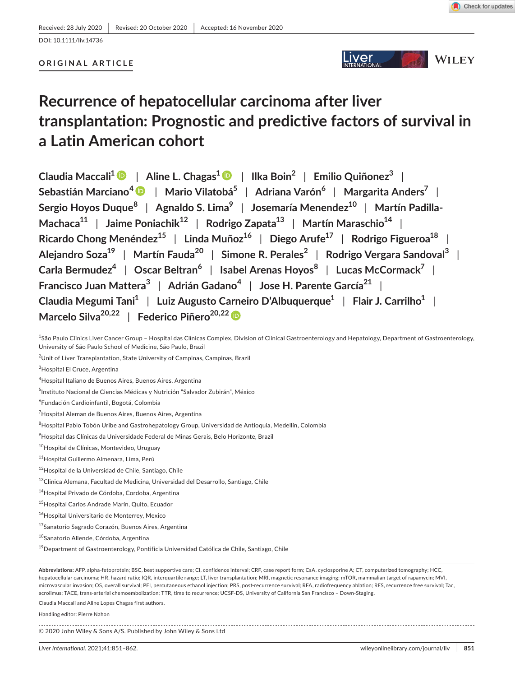# DOI: 10.1111/liv.14736

# **ORIGINAL ARTICLE**



# **Recurrence of hepatocellular carcinoma after liver transplantation: Prognostic and predictive factors of survival in a Latin American cohort**

**Claudia Maccali1** | **Aline L. Chagas1** | **Ilka Boin<sup>2</sup>** | **Emilio Quiñonez<sup>3</sup>** | **Sebastián Marciano<sup>4</sup>** | **Mario Vilatobá5** | **Adriana Varón<sup>6</sup>** | **Margarita Anders<sup>7</sup>** | **Sergio Hoyos Duque<sup>8</sup>** | **Agnaldo S. Lima<sup>9</sup>** | **Josemaría Menendez10** | **Martín Padilla-Machaca**<sup>11</sup> | Jaime Poniachik<sup>12</sup> | Rodrigo Zapata<sup>13</sup> | Martín Maraschio<sup>14</sup> | **Ricardo Chong Menéndez15** | **Linda Muñoz16** | **Diego Arufe17** | **Rodrigo Figueroa18** | **Alejandro Soza19** | **Martín Fauda20** | **Simone R. Perales<sup>2</sup>** | **Rodrigo Vergara Sandoval<sup>3</sup>** | **Carla Bermudez<sup>4</sup>** | **Oscar Beltran<sup>6</sup>** | **Isabel Arenas Hoyos<sup>8</sup>** | **Lucas McCormack<sup>7</sup>** | **Francisco Juan Mattera<sup>3</sup>** | **Adrián Gadano<sup>4</sup>** | **Jose H. Parente García21** | **Claudia Megumi Tani1** | **Luiz Augusto Carneiro D'Albuquerque1** | **Flair J. Carrilho1** | **Marcelo Silva20,22** | **Federico Piñero20,2[2](https://orcid.org/0000-0002-9528-2279)**

<sup>1</sup>São Paulo Clinics Liver Cancer Group – Hospital das Clínicas Complex, Division of Clinical Gastroenterology and Hepatology, Department of Gastroenterology, University of São Paulo School of Medicine, São Paulo, Brazil

 $^{2}$ Unit of Liver Transplantation, State University of Campinas, Campinas, Brazil

3 Hospital El Cruce, Argentina

4 Hospital Italiano de Buenos Aires, Buenos Aires, Argentina

<sup>5</sup>Instituto Nacional de Ciencias Médicas y Nutrición "Salvador Zubirán", México

6 Fundación Cardioinfantil, Bogotá, Colombia

<sup>7</sup>Hospital Aleman de Buenos Aires, Buenos Aires, Argentina

 $^8$ Hospital Pablo Tobón Uribe and Gastrohepatology Group, Universidad de Antioquia, Medellín, Colombia

 $^9$ Hospital das Clínicas da Universidade Federal de Minas Gerais, Belo Horizonte, Brazil

10Hospital de Clínicas, Montevideo, Uruguay

11 Hospital Guillermo Almenara, Lima, Perú

<sup>12</sup>Hospital de la Universidad de Chile, Santiago, Chile

13Clinica Alemana, Facultad de Medicina, Universidad del Desarrollo, Santiago, Chile

<sup>14</sup>Hospital Privado de Córdoba, Cordoba, Argentina

<sup>15</sup>Hospital Carlos Andrade Marín, Quito, Ecuador

<sup>16</sup>Hospital Universitario de Monterrey, Mexico

<sup>17</sup>Sanatorio Sagrado Corazón, Buenos Aires, Argentina

<sup>18</sup>Sanatorio Allende, Córdoba, Argentina

 $19$ Department of Gastroenterology, Pontificia Universidad Católica de Chile, Santiago, Chile

**Abbreviations:** AFP, alpha-fetoprotein; BSC, best supportive care; CI, confidence interval; CRF, case report form; CsA, cyclosporine A; CT, computerized tomography; HCC, hepatocellular carcinoma; HR, hazard ratio; IQR, interquartile range; LT, liver transplantation; MRI, magnetic resonance imaging; mTOR, mammalian target of rapamycin; MVI, microvascular invasion; OS, overall survival; PEI, percutaneous ethanol injection; PRS, post-recurrence survival; RFA, radiofrequency ablation; RFS, recurrence free survival; Tac, acrolimus; TACE, trans-arterial chemoembolization; TTR, time to recurrence; UCSF-DS, University of California San Francisco – Down-Staging.

Claudia Maccali and Aline Lopes Chagas first authors.

Handling editor: Pierre Nahon

© 2020 John Wiley & Sons A/S. Published by John Wiley & Sons Ltd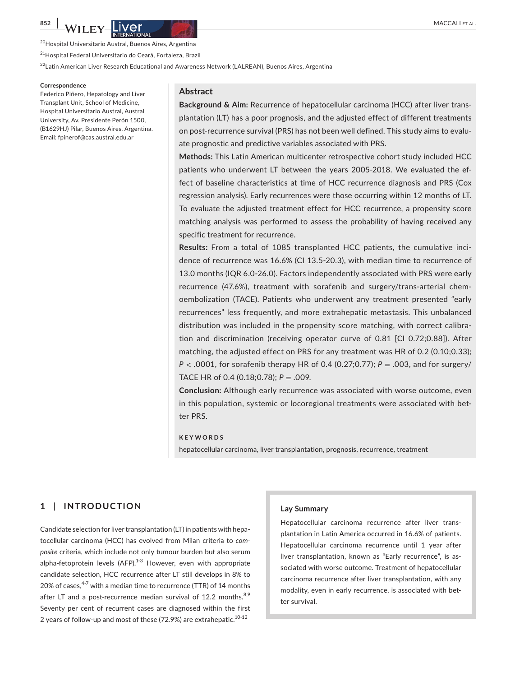<sup>20</sup>Hospital Universitario Austral, Buenos Aires, Argentina

<sup>21</sup>Hospital Federal Universitario do Ceará, Fortaleza, Brazil

<sup>22</sup>Latin American Liver Research Educational and Awareness Network (LALREAN), Buenos Aires, Argentina

#### **Correspondence**

Federico Piñero, Hepatology and Liver Transplant Unit, School of Medicine, Hospital Universitario Austral, Austral University, Av. Presidente Perón 1500, (B1629HJ) Pilar, Buenos Aires, Argentina. Email: [fpinerof@cas.austral.edu.ar](mailto:fpinerof@cas.austral.edu.ar)

## **Abstract**

**Background & Aim:** Recurrence of hepatocellular carcinoma (HCC) after liver transplantation (LT) has a poor prognosis, and the adjusted effect of different treatments on post-recurrence survival (PRS) has not been well defined. This study aims to evaluate prognostic and predictive variables associated with PRS.

**Methods:** This Latin American multicenter retrospective cohort study included HCC patients who underwent LT between the years 2005-2018. We evaluated the effect of baseline characteristics at time of HCC recurrence diagnosis and PRS (Cox regression analysis). Early recurrences were those occurring within 12 months of LT. To evaluate the adjusted treatment effect for HCC recurrence, a propensity score matching analysis was performed to assess the probability of having received any specific treatment for recurrence.

**Results:** From a total of 1085 transplanted HCC patients, the cumulative incidence of recurrence was 16.6% (CI 13.5-20.3), with median time to recurrence of 13.0 months (IQR 6.0-26.0). Factors independently associated with PRS were early recurrence (47.6%), treatment with sorafenib and surgery/trans-arterial chemoembolization (TACE). Patients who underwent any treatment presented "early recurrences" less frequently, and more extrahepatic metastasis. This unbalanced distribution was included in the propensity score matching, with correct calibration and discrimination (receiving operator curve of 0.81 [CI 0.72;0.88]). After matching, the adjusted effect on PRS for any treatment was HR of 0.2 (0.10;0.33); *P* < .0001, for sorafenib therapy HR of 0.4 (0.27;0.77); *P* = .003, and for surgery/ TACE HR of 0.4 (0.18;0.78); *P* = .009.

**Conclusion:** Although early recurrence was associated with worse outcome, even in this population, systemic or locoregional treatments were associated with better PRS.

### **KEYWORDS**

hepatocellular carcinoma, liver transplantation, prognosis, recurrence, treatment

# **1** | **INTRODUCTION**

Candidate selection for liver transplantation (LT) in patients with hepatocellular carcinoma (HCC) has evolved from Milan criteria to *composite* criteria, which include not only tumour burden but also serum alpha-fetoprotein levels  $(AFP)$ <sup>1-3</sup> However, even with appropriate candidate selection, HCC recurrence after LT still develops in 8% to 20% of cases,  $4-7$  with a median time to recurrence (TTR) of 14 months after LT and a post-recurrence median survival of 12.2 months.  $8,9$ Seventy per cent of recurrent cases are diagnosed within the first 2 years of follow-up and most of these (72.9%) are extrahepatic.<sup>10-12</sup>

#### **Lay Summary**

Hepatocellular carcinoma recurrence after liver transplantation in Latin America occurred in 16.6% of patients. Hepatocellular carcinoma recurrence until 1 year after liver transplantation, known as "Early recurrence", is associated with worse outcome. Treatment of hepatocellular carcinoma recurrence after liver transplantation, with any modality, even in early recurrence, is associated with better survival.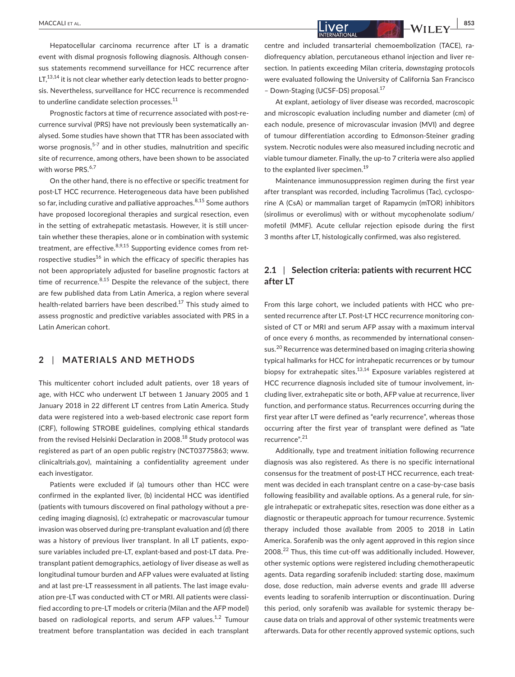Hepatocellular carcinoma recurrence after LT is a dramatic event with dismal prognosis following diagnosis. Although consensus statements recommend surveillance for HCC recurrence after  $LT^{13,14}$  it is not clear whether early detection leads to better prognosis. Nevertheless, surveillance for HCC recurrence is recommended to underline candidate selection processes.<sup>11</sup>

Prognostic factors at time of recurrence associated with post-recurrence survival (PRS) have not previously been systematically analysed. Some studies have shown that TTR has been associated with worse prognosis,  $5-7$  and in other studies, malnutrition and specific site of recurrence, among others, have been shown to be associated with worse PRS.<sup>6,7</sup>

On the other hand, there is no effective or specific treatment for post-LT HCC recurrence. Heterogeneous data have been published so far, including curative and palliative approaches.  $8,15$  Some authors have proposed locoregional therapies and surgical resection, even in the setting of extrahepatic metastasis. However, it is still uncertain whether these therapies, alone or in combination with systemic treatment, are effective. $8,9,15$  Supporting evidence comes from retrospective studies<sup>16</sup> in which the efficacy of specific therapies has not been appropriately adjusted for baseline prognostic factors at time of recurrence. $8,15$  Despite the relevance of the subject, there are few published data from Latin America, a region where several health-related barriers have been described.<sup>17</sup> This study aimed to assess prognostic and predictive variables associated with PRS in a Latin American cohort.

# **2** | **MATERIALS AND METHODS**

This multicenter cohort included adult patients, over 18 years of age, with HCC who underwent LT between 1 January 2005 and 1 January 2018 in 22 different LT centres from Latin America. Study data were registered into a web-based electronic case report form (CRF), following STROBE guidelines, complying ethical standards from the revised Helsinki Declaration in 2008.<sup>18</sup> Study protocol was registered as part of an open public registry (NCT03775863; [www.](http://www.clinicaltrials.gov) [clinicaltrials.gov\)](http://www.clinicaltrials.gov), maintaining a confidentiality agreement under each investigator.

Patients were excluded if (a) tumours other than HCC were confirmed in the explanted liver, (b) incidental HCC was identified (patients with tumours discovered on final pathology without a preceding imaging diagnosis), (c) extrahepatic or macrovascular tumour invasion was observed during pre-transplant evaluation and (d) there was a history of previous liver transplant. In all LT patients, exposure variables included pre-LT, explant-based and post-LT data. Pretransplant patient demographics, aetiology of liver disease as well as longitudinal tumour burden and AFP values were evaluated at listing and at last pre-LT reassessment in all patients. The last image evaluation pre-LT was conducted with CT or MRI. All patients were classified according to pre-LT models or criteria (Milan and the AFP model) based on radiological reports, and serum AFP values.<sup>1,2</sup> Tumour treatment before transplantation was decided in each transplant

 **|** MACCALI et al. **853**

centre and included transarterial chemoembolization (TACE), radiofrequency ablation, percutaneous ethanol injection and liver resection. In patients exceeding Milan criteria, *downstaging* protocols were evaluated following the University of California San Francisco – Down-Staging (UCSF-DS) proposal.17

At explant, aetiology of liver disease was recorded, macroscopic and microscopic evaluation including number and diameter (cm) of each nodule, presence of microvascular invasion (MVI) and degree of tumour differentiation according to Edmonson-Steiner grading system. Necrotic nodules were also measured including necrotic and viable tumour diameter. Finally, the up-to 7 criteria were also applied to the explanted liver specimen.<sup>19</sup>

Maintenance immunosuppression regimen during the first year after transplant was recorded, including Tacrolimus (Tac), cyclosporine A (CsA) or mammalian target of Rapamycin (mTOR) inhibitors (sirolimus or everolimus) with or without mycophenolate sodium/ mofetil (MMF). Acute cellular rejection episode during the first 3 months after LT, histologically confirmed, was also registered.

# **2.1** | **Selection criteria: patients with recurrent HCC after LT**

From this large cohort, we included patients with HCC who presented recurrence after LT. Post-LT HCC recurrence monitoring consisted of CT or MRI and serum AFP assay with a maximum interval of once every 6 months, as recommended by international consensus.<sup>20</sup> Recurrence was determined based on imaging criteria showing typical hallmarks for HCC for intrahepatic recurrences or by tumour biopsy for extrahepatic sites. $13,14$  Exposure variables registered at HCC recurrence diagnosis included site of tumour involvement, including liver, extrahepatic site or both, AFP value at recurrence, liver function, and performance status. Recurrences occurring during the first year after LT were defined as "early recurrence", whereas those occurring after the first year of transplant were defined as "late recurrence".<sup>21</sup>

Additionally, type and treatment initiation following recurrence diagnosis was also registered. As there is no specific international consensus for the treatment of post-LT HCC recurrence, each treatment was decided in each transplant centre on a case-by-case basis following feasibility and available options. As a general rule, for single intrahepatic or extrahepatic sites, resection was done either as a diagnostic or therapeutic approach for tumour recurrence. Systemic therapy included those available from 2005 to 2018 in Latin America. Sorafenib was the only agent approved in this region since 2008.<sup>22</sup> Thus, this time cut-off was additionally included. However, other systemic options were registered including chemotherapeutic agents. Data regarding sorafenib included: starting dose, maximum dose, dose reduction, main adverse events and grade III adverse events leading to sorafenib interruption or discontinuation. During this period, only sorafenib was available for systemic therapy because data on trials and approval of other systemic treatments were afterwards. Data for other recently approved systemic options, such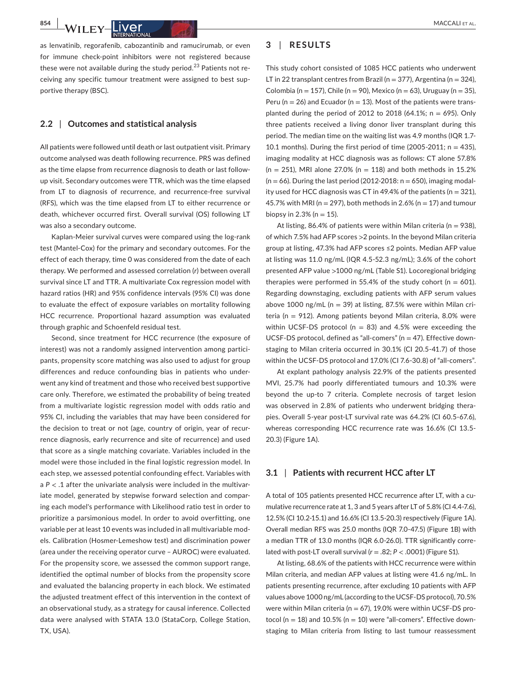**854 | <b>WACCALI ET AL. PRODUCT AL. PRODUCT AL. PRODUCT AL. PRODUCT AL. PRODUCT AL.** 

as lenvatinib, regorafenib, cabozantinib and ramucirumab, or even for immune check-point inhibitors were not registered because these were not available during the study period.<sup>23</sup> Patients not receiving any specific tumour treatment were assigned to best supportive therapy (BSC).

## **2.2** | **Outcomes and statistical analysis**

All patients were followed until death or last outpatient visit. Primary outcome analysed was death following recurrence. PRS was defined as the time elapse from recurrence diagnosis to death or last followup visit. Secondary outcomes were TTR, which was the time elapsed from LT to diagnosis of recurrence, and recurrence-free survival (RFS), which was the time elapsed from LT to either recurrence or death, whichever occurred first. Overall survival (OS) following LT was also a secondary outcome.

Kaplan-Meier survival curves were compared using the log-rank test (Mantel-Cox) for the primary and secondary outcomes. For the effect of each therapy, time 0 was considered from the date of each therapy. We performed and assessed correlation (*r*) between overall survival since LT and TTR. A multivariate Cox regression model with hazard ratios (HR) and 95% confidence intervals (95% CI) was done to evaluate the effect of exposure variables on mortality following HCC recurrence. Proportional hazard assumption was evaluated through graphic and Schoenfeld residual test.

Second, since treatment for HCC recurrence (the exposure of interest) was not a randomly assigned intervention among participants, propensity score matching was also used to adjust for group differences and reduce confounding bias in patients who underwent any kind of treatment and those who received best supportive care only. Therefore, we estimated the probability of being treated from a multivariate logistic regression model with odds ratio and 95% CI, including the variables that may have been considered for the decision to treat or not (age, country of origin, year of recurrence diagnosis, early recurrence and site of recurrence) and used that score as a single matching covariate. Variables included in the model were those included in the final logistic regression model. In each step, we assessed potential confounding effect. Variables with a  $P < 0.1$  after the univariate analysis were included in the multivariate model, generated by stepwise forward selection and comparing each model's performance with Likelihood ratio test in order to prioritize a parsimonious model. In order to avoid overfitting, one variable per at least 10 events was included in all multivariable models. Calibration (Hosmer-Lemeshow test) and discrimination power (area under the receiving operator curve – AUROC) were evaluated. For the propensity score, we assessed the common support range, identified the optimal number of blocks from the propensity score and evaluated the balancing property in each block. We estimated the adjusted treatment effect of this intervention in the context of an observational study, as a strategy for causal inference. Collected data were analysed with STATA 13.0 (StataCorp, College Station, TX, USA).

# **3** | **RESULTS**

This study cohort consisted of 1085 HCC patients who underwent LT in 22 transplant centres from Brazil (n = 377), Argentina (n = 324), Colombia (n = 157), Chile (n = 90), Mexico (n = 63), Uruguay (n = 35), Peru ( $n = 26$ ) and Ecuador ( $n = 13$ ). Most of the patients were transplanted during the period of 2012 to 2018 (64.1%;  $n = 695$ ). Only three patients received a living donor liver transplant during this period. The median time on the waiting list was 4.9 months (IQR 1.7- 10.1 months). During the first period of time (2005-2011;  $n = 435$ ), imaging modality at HCC diagnosis was as follows: CT alone 57.8%  $(n = 251)$ , MRI alone 27.0%  $(n = 118)$  and both methods in 15.2%  $(n = 66)$ . During the last period (2012-2018:  $n = 650$ ), imaging modality used for HCC diagnosis was CT in 49.4% of the patients ( $n = 321$ ), 45.7% with MRI ( $n = 297$ ), both methods in 2.6% ( $n = 17$ ) and tumour biopsy in 2.3% ( $n = 15$ ).

At listing, 86.4% of patients were within Milan criteria ( $n = 938$ ), of which 7.5% had AFP scores >2 points. In the beyond Milan criteria group at listing, 47.3% had AFP scores ≤2 points. Median AFP value at listing was 11.0 ng/mL (IQR 4.5-52.3 ng/mL); 3.6% of the cohort presented AFP value >1000 ng/mL (Table S1). Locoregional bridging therapies were performed in 55.4% of the study cohort ( $n = 601$ ). Regarding downstaging, excluding patients with AFP serum values above 1000 ng/mL ( $n = 39$ ) at listing, 87.5% were within Milan criteria ( $n = 912$ ). Among patients beyond Milan criteria, 8.0% were within UCSF-DS protocol ( $n = 83$ ) and 4.5% were exceeding the UCSF-DS protocol, defined as "all-comers" ( $n = 47$ ). Effective downstaging to Milan criteria occurred in 30.1% (CI 20.5-41.7) of those within the UCSF-DS protocol and 17.0% (CI 7.6-30.8) of "all-comers".

At explant pathology analysis 22.9% of the patients presented MVI, 25.7% had poorly differentiated tumours and 10.3% were beyond the up-to 7 criteria. Complete necrosis of target lesion was observed in 2.8% of patients who underwent bridging therapies. Overall 5-year post-LT survival rate was 64.2% (CI 60.5-67.6), whereas corresponding HCC recurrence rate was 16.6% (CI 13.5- 20.3) (Figure 1A).

## **3.1** | **Patients with recurrent HCC after LT**

A total of 105 patients presented HCC recurrence after LT, with a cumulative recurrence rate at 1, 3 and 5 years after LT of 5.8% (CI 4.4-7.6), 12.5% (CI 10.2-15.1) and 16.6% (CI 13.5-20.3) respectively (Figure 1A). Overall median RFS was 25.0 months (IQR 7.0-47.5) (Figure 1B) with a median TTR of 13.0 months (IQR 6.0-26.0). TTR significantly correlated with post-LT overall survival  $(r = .82; P < .0001)$  (Figure S1).

At listing, 68.6% of the patients with HCC recurrence were within Milan criteria, and median AFP values at listing were 41.6 ng/mL. In patients presenting recurrence, after excluding 10 patients with AFP values above 1000 ng/mL (according to the UCSF-DS protocol), 70.5% were within Milan criteria ( $n = 67$ ), 19.0% were within UCSF-DS protocol ( $n = 18$ ) and 10.5% ( $n = 10$ ) were "all-comers". Effective downstaging to Milan criteria from listing to last tumour reassessment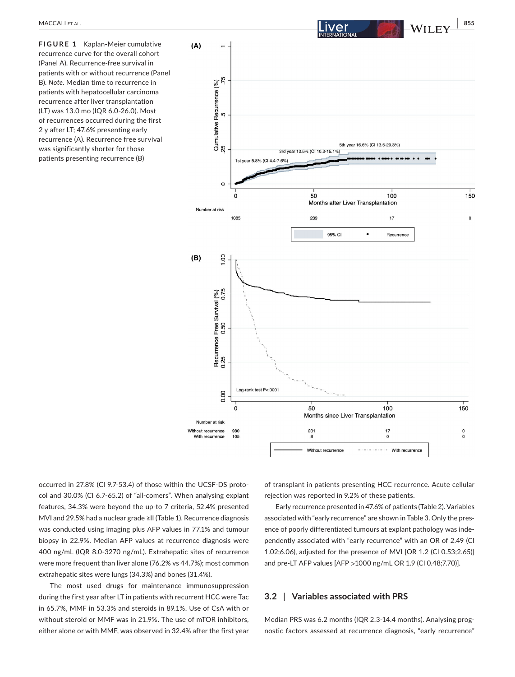**FIGURE 1** Kaplan-Meier cumulative recurrence curve for the overall cohort (Panel A). Recurrence-free survival in patients with or without recurrence (Panel B). *Note*. Median time to recurrence in patients with hepatocellular carcinoma recurrence after liver transplantation (LT) was 13.0 mo (IQR 6.0-26.0). Most of recurrences occurred during the first 2 y after LT; 47.6% presenting early recurrence (A). Recurrence free survival was significantly shorter for those patients presenting recurrence (B)



occurred in 27.8% (CI 9.7-53.4) of those within the UCSF-DS protocol and 30.0% (CI 6.7-65.2) of "all-comers". When analysing explant features, 34.3% were beyond the up-to 7 criteria, 52.4% presented MVI and 29.5% had a nuclear grade ≥II (Table 1). Recurrence diagnosis was conducted using imaging plus AFP values in 77.1% and tumour biopsy in 22.9%. Median AFP values at recurrence diagnosis were 400 ng/mL (IQR 8.0-3270 ng/mL). Extrahepatic sites of recurrence were more frequent than liver alone (76.2% vs 44.7%); most common extrahepatic sites were lungs (34.3%) and bones (31.4%).

The most used drugs for maintenance immunosuppression during the first year after LT in patients with recurrent HCC were Tac in 65.7%, MMF in 53.3% and steroids in 89.1%. Use of CsA with or without steroid or MMF was in 21.9%. The use of mTOR inhibitors, either alone or with MMF, was observed in 32.4% after the first year

of transplant in patients presenting HCC recurrence. Acute cellular rejection was reported in 9.2% of these patients.

Early recurrence presented in 47.6% of patients (Table 2). Variables associated with "early recurrence" are shown in Table 3. Only the presence of poorly differentiated tumours at explant pathology was independently associated with "early recurrence" with an OR of 2.49 (CI 1.02;6.06), adjusted for the presence of MVI [OR 1.2 (CI 0.53;2.65)] and pre-LT AFP values [AFP >1000 ng/mL OR 1.9 (CI 0.48;7.70)].

# **3.2** | **Variables associated with PRS**

Median PRS was 6.2 months (IQR 2.3-14.4 months). Analysing prognostic factors assessed at recurrence diagnosis, "early recurrence"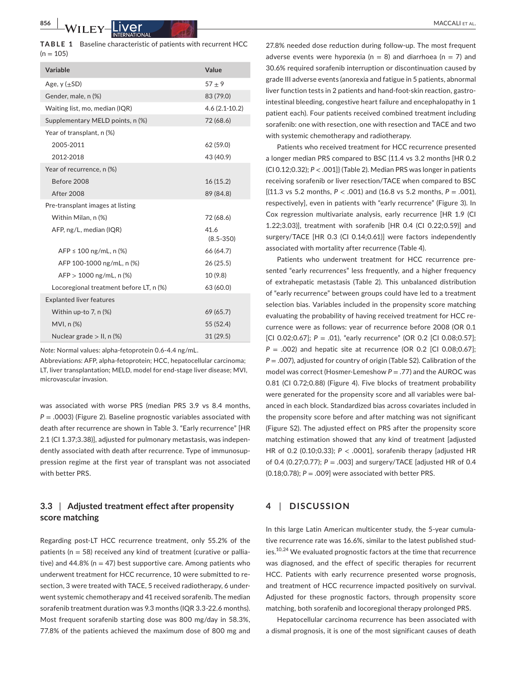**TABLE 1** Baseline characteristic of patients with recurrent HCC  $(n = 105)$ 

| Variable                                | Value                 |
|-----------------------------------------|-----------------------|
| Age, $y$ ( $\pm$ SD)                    | $57 + 9$              |
| Gender, male, n (%)                     | 83 (79.0)             |
| Waiting list, mo, median (IQR)          | $4.6(2.1-10.2)$       |
| Supplementary MELD points, n (%)        | 72 (68.6)             |
| Year of transplant, n (%)               |                       |
| 2005-2011                               | 62 (59.0)             |
| 2012-2018                               | 43 (40.9)             |
| Year of recurrence, n (%)               |                       |
| Before 2008                             | 16(15.2)              |
| <b>After 2008</b>                       | 89 (84.8)             |
| Pre-transplant images at listing        |                       |
| Within Milan, n (%)                     | 72 (68.6)             |
| AFP, ng/L, median (IQR)                 | 41.6<br>$(8.5 - 350)$ |
| $AFP \le 100$ ng/mL, n (%)              | 66 (64.7)             |
| AFP 100-1000 ng/mL, n (%)               | 26(25.5)              |
| $AFP > 1000$ ng/mL, n (%)               | 10(9.8)               |
| Locoregional treatment before LT, n (%) | 63 (60.0)             |
| <b>Explanted liver features</b>         |                       |
| Within up-to $7$ , n $(\%)$             | 69 (65.7)             |
| MVI, n (%)                              | 55 (52.4)             |
| Nuclear grade $>$ II, n (%)             | 31(29.5)              |

*Note:* Normal values: alpha-fetoprotein 0.6-4.4 ng/mL.

Abbreviations: AFP, alpha-fetoprotein; HCC, hepatocellular carcinoma; LT, liver transplantation; MELD, model for end-stage liver disease; MVI, microvascular invasion.

was associated with worse PRS (median PRS 3.9 vs 8.4 months, *P* = .0003) (Figure 2). Baseline prognostic variables associated with death after recurrence are shown in Table 3. "Early recurrence" [HR 2.1 (CI 1.37;3.38)], adjusted for pulmonary metastasis, was independently associated with death after recurrence. Type of immunosuppression regime at the first year of transplant was not associated with better PRS.

# **3.3** | **Adjusted treatment effect after propensity score matching**

Regarding post-LT HCC recurrence treatment, only 55.2% of the patients ( $n = 58$ ) received any kind of treatment (curative or palliative) and 44.8% ( $n = 47$ ) best supportive care. Among patients who underwent treatment for HCC recurrence, 10 were submitted to resection, 3 were treated with TACE, 5 received radiotherapy, 6 underwent systemic chemotherapy and 41 received sorafenib. The median sorafenib treatment duration was 9.3 months (IQR 3.3-22.6 months). Most frequent sorafenib starting dose was 800 mg/day in 58.3%, 77.8% of the patients achieved the maximum dose of 800 mg and

27.8% needed dose reduction during follow-up. The most frequent adverse events were hyporexia ( $n = 8$ ) and diarrhoea ( $n = 7$ ) and 30.6% required sorafenib interruption or discontinuation caused by grade III adverse events (anorexia and fatigue in 5 patients, abnormal liver function tests in 2 patients and hand-foot-skin reaction, gastrointestinal bleeding, congestive heart failure and encephalopathy in 1 patient each). Four patients received combined treatment including sorafenib: one with resection, one with resection and TACE and two with systemic chemotherapy and radiotherapy.

Patients who received treatment for HCC recurrence presented a longer median PRS compared to BSC {11.4 vs 3.2 months [HR 0.2 (CI 0.12;0.32); *P* < .001]} (Table 2). Median PRS was longer in patients receiving sorafenib or liver resection/TACE when compared to BSC [(11.3 vs 5.2 months, *P* < .001) and (16.8 vs 5.2 months, *P* = .001), respectively], even in patients with "early recurrence" (Figure 3). In Cox regression multivariate analysis, early recurrence [HR 1.9 (CI 1.22;3.03)], treatment with sorafenib [HR 0.4 (CI 0.22;0.59)] and surgery/TACE [HR 0.3 (CI 0.14;0.61)] were factors independently associated with mortality after recurrence (Table 4).

Patients who underwent treatment for HCC recurrence presented "early recurrences" less frequently, and a higher frequency of extrahepatic metastasis (Table 2). This unbalanced distribution of "early recurrence" between groups could have led to a treatment selection bias. Variables included in the propensity score matching evaluating the probability of having received treatment for HCC recurrence were as follows: year of recurrence before 2008 (OR 0.1 [CI 0.02;0.67]; *P* = .01), "early recurrence" (OR 0.2 [CI 0.08;0.57];  $P = .002$ ) and hepatic site at recurrence (OR 0.2 [CI 0.08;0.67]; *P* = .007), adjusted for country of origin (Table S2). Calibration of the model was correct (Hosmer-Lemeshow *P* = .77) and the AUROC was 0.81 (CI 0.72;0.88) (Figure 4). Five blocks of treatment probability were generated for the propensity score and all variables were balanced in each block. Standardized bias across covariates included in the propensity score before and after matching was not significant (Figure S2). The adjusted effect on PRS after the propensity score matching estimation showed that any kind of treatment [adjusted HR of 0.2 (0.10;0.33); *P* < .0001], sorafenib therapy [adjusted HR of 0.4 (0.27;0.77); *P* = .003] and surgery/TACE [adjusted HR of 0.4 (0.18;0.78); *P* = .009] were associated with better PRS.

# **4** | **DISCUSSION**

In this large Latin American multicenter study, the 5-year cumulative recurrence rate was 16.6%, similar to the latest published studies.<sup>10,24</sup> We evaluated prognostic factors at the time that recurrence was diagnosed, and the effect of specific therapies for recurrent HCC. Patients with early recurrence presented worse prognosis, and treatment of HCC recurrence impacted positively on survival. Adjusted for these prognostic factors, through propensity score matching, both sorafenib and locoregional therapy prolonged PRS.

Hepatocellular carcinoma recurrence has been associated with a dismal prognosis, it is one of the most significant causes of death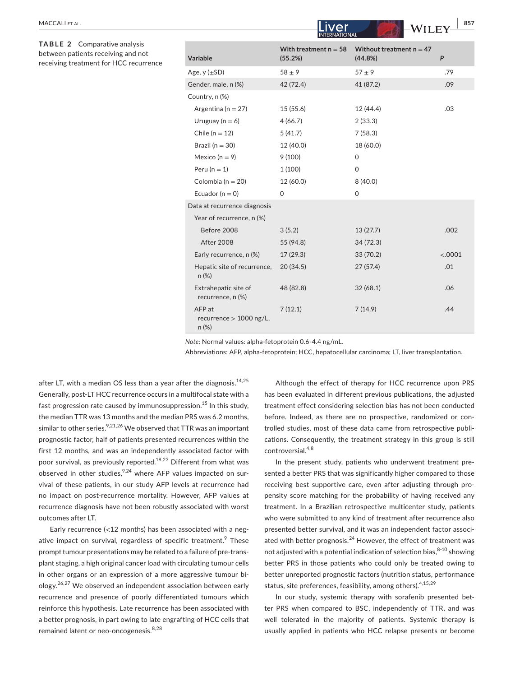|                      | <b>INTERNATIONAL</b>                            |                                    |                                       |         |  |  |  |
|----------------------|-------------------------------------------------|------------------------------------|---------------------------------------|---------|--|--|--|
| is<br>not<br>urrence | Variable                                        | With treatment $n = 58$<br>(55.2%) | Without treatment $n = 47$<br>(44.8%) | P       |  |  |  |
|                      | Age, $y (\pm SD)$                               | $58 \pm 9$                         | $57 + 9$                              | .79     |  |  |  |
|                      | Gender, male, n (%)                             | 42 (72.4)                          | 41 (87.2)                             | .09     |  |  |  |
|                      | Country, n (%)                                  |                                    |                                       |         |  |  |  |
|                      | Argentina ( $n = 27$ )                          | 15(55.6)                           | 12 (44.4)                             | .03     |  |  |  |
|                      | Uruguay ( $n = 6$ )                             | 4(66.7)                            | 2(33.3)                               |         |  |  |  |
|                      | Chile ( $n = 12$ )                              | 5(41.7)                            | 7(58.3)                               |         |  |  |  |
|                      | Brazil ( $n = 30$ )                             | 12 (40.0)                          | 18 (60.0)                             |         |  |  |  |
|                      | Mexico ( $n = 9$ )                              | 9(100)                             | 0                                     |         |  |  |  |
|                      | Peru ( $n = 1$ )                                | 1(100)                             | $\mathbf 0$                           |         |  |  |  |
|                      | Colombia ( $n = 20$ )                           | 12 (60.0)                          | 8(40.0)                               |         |  |  |  |
|                      | Ecuador ( $n = 0$ )                             | $\mathbf{0}$                       | $\mathsf{O}$                          |         |  |  |  |
|                      | Data at recurrence diagnosis                    |                                    |                                       |         |  |  |  |
|                      | Year of recurrence, n (%)                       |                                    |                                       |         |  |  |  |
|                      | Before 2008                                     | 3(5.2)                             | 13(27.7)                              | .002    |  |  |  |
|                      | <b>After 2008</b>                               | 55 (94.8)                          | 34(72.3)                              |         |  |  |  |
|                      | Early recurrence, n (%)                         | 17(29.3)                           | 33 (70.2)                             | < .0001 |  |  |  |
|                      | Hepatic site of recurrence,<br>$n (\%)$         | 20(34.5)                           | 27(57.4)                              | .01     |  |  |  |
|                      | Extrahepatic site of<br>recurrence, n (%)       | 48 (82.8)                          | 32(68.1)                              | .06     |  |  |  |
|                      | AFP at<br>recurrence $> 1000$ ng/L,<br>$n (\%)$ | 7(12.1)                            | 7(14.9)                               | .44     |  |  |  |
|                      |                                                 |                                    |                                       |         |  |  |  |

*Note:* Normal values: alpha-fetoprotein 0.6-4.4 ng/mL.

Abbreviations: AFP, alpha-fetoprotein; HCC, hepatocellular carcinoma; LT, liver transplantation.

after LT, with a median OS less than a year after the diagnosis. $14,25$ Generally, post-LT HCC recurrence occurs in a multifocal state with a fast progression rate caused by immunosuppression.<sup>15</sup> In this study, the median TTR was 13 months and the median PRS was 6.2 months, similar to other series.<sup>9,21,26</sup> We observed that TTR was an important prognostic factor, half of patients presented recurrences within the first 12 months, and was an independently associated factor with poor survival, as previously reported.18,23 Different from what was observed in other studies, $^{9,24}$  where AFP values impacted on survival of these patients, in our study AFP levels at recurrence had no impact on post-recurrence mortality. However, AFP values at recurrence diagnosis have not been robustly associated with worst outcomes after LT.

Early recurrence (<12 months) has been associated with a negative impact on survival, regardless of specific treatment. $^9$  These prompt tumour presentations may be related to a failure of pre-transplant staging, a high original cancer load with circulating tumour cells in other organs or an expression of a more aggressive tumour biology.26,27 We observed an independent association between early recurrence and presence of poorly differentiated tumours which reinforce this hypothesis. Late recurrence has been associated with a better prognosis, in part owing to late engrafting of HCC cells that remained latent or neo-oncogenesis.<sup>8,28</sup>

Although the effect of therapy for HCC recurrence upon PRS has been evaluated in different previous publications, the adjusted treatment effect considering selection bias has not been conducted before. Indeed, as there are no prospective, randomized or controlled studies, most of these data came from retrospective publications. Consequently, the treatment strategy in this group is still controversial.<sup>4,8</sup>

In the present study, patients who underwent treatment presented a better PRS that was significantly higher compared to those receiving best supportive care, even after adjusting through propensity score matching for the probability of having received any treatment. In a Brazilian retrospective multicenter study, patients who were submitted to any kind of treatment after recurrence also presented better survival, and it was an independent factor associated with better prognosis. $^{24}$  However, the effect of treatment was not adjusted with a potential indication of selection bias,  $8-10$  showing better PRS in those patients who could only be treated owing to better unreported prognostic factors (nutrition status, performance status, site preferences, feasibility, among others).4,15,29

In our study, systemic therapy with sorafenib presented better PRS when compared to BSC, independently of TTR, and was well tolerated in the majority of patients. Systemic therapy is usually applied in patients who HCC relapse presents or become

**TABLE 2** Comparative analys between patients receiving and receiving treatment for HCC rec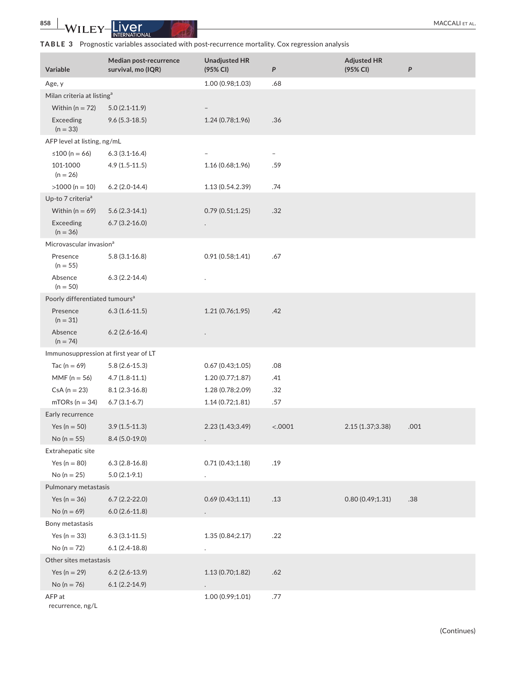# **TABLE 3** Prognostic variables associated with post-recurrence mortality. Cox regression analysis

| Variable                                   | Median post-recurrence<br>survival, mo (IQR) | <b>Unadjusted HR</b><br>(95% CI) | P       | <b>Adjusted HR</b><br>(95% CI) | $\boldsymbol{P}$ |
|--------------------------------------------|----------------------------------------------|----------------------------------|---------|--------------------------------|------------------|
| Age, y                                     |                                              | 1.00 (0.98;1.03)                 | .68     |                                |                  |
| Milan criteria at listing <sup>a</sup>     |                                              |                                  |         |                                |                  |
| Within ( $n = 72$ )                        | $5.0(2.1-11.9)$                              |                                  |         |                                |                  |
| Exceeding<br>$(n = 33)$                    | $9.6(5.3-18.5)$                              | 1.24 (0.78;1.96)                 | .36     |                                |                  |
| AFP level at listing, ng/mL                |                                              |                                  |         |                                |                  |
| ≤100 (n = 66)                              | $6.3(3.1-16.4)$                              |                                  |         |                                |                  |
| 101-1000<br>$(n = 26)$                     | $4.9(1.5-11.5)$                              | 1.16 (0.68;1.96)                 | .59     |                                |                  |
| $>1000$ (n = 10)                           | $6.2(2.0-14.4)$                              | 1.13 (0.54.2.39)                 | .74     |                                |                  |
| Up-to 7 criteria <sup>a</sup>              |                                              |                                  |         |                                |                  |
| Within ( $n = 69$ )                        | $5.6(2.3-14.1)$                              | 0.79(0.51;1.25)                  | .32     |                                |                  |
| Exceeding<br>$(n = 36)$                    | $6.7(3.2 - 16.0)$                            |                                  |         |                                |                  |
| Microvascular invasion <sup>a</sup>        |                                              |                                  |         |                                |                  |
| Presence<br>$(n = 55)$                     | $5.8(3.1 - 16.8)$                            | 0.91(0.58;1.41)                  | .67     |                                |                  |
| Absence<br>$(n = 50)$                      | $6.3(2.2-14.4)$                              |                                  |         |                                |                  |
| Poorly differentiated tumours <sup>a</sup> |                                              |                                  |         |                                |                  |
| Presence<br>$(n = 31)$                     | $6.3(1.6-11.5)$                              | 1.21 (0.76;1.95)                 | .42     |                                |                  |
| Absence<br>$(n = 74)$                      | $6.2(2.6-16.4)$                              |                                  |         |                                |                  |
| Immunosuppression at first year of LT      |                                              |                                  |         |                                |                  |
| Tac ( $n = 69$ )                           | $5.8(2.6-15.3)$                              | 0.67(0.43;1.05)                  | .08     |                                |                  |
| $MMF (n = 56)$                             | $4.7(1.8-11.1)$                              | 1.20 (0.77;1.87)                 | .41     |                                |                  |
| $CsA (n = 23)$                             | $8.1(2.3-16.8)$                              | 1.28 (0.78;2.09)                 | .32     |                                |                  |
| $mTORs (n = 34)$                           | $6.7(3.1-6.7)$                               | 1.14(0.72;1.81)                  | .57     |                                |                  |
| Early recurrence                           |                                              |                                  |         |                                |                  |
| Yes ( $n = 50$ )                           | $3.9(1.5-11.3)$                              | 2.23 (1.43;3.49)                 | < .0001 | 2.15 (1.37;3.38)               | .001             |
| No ( $n = 55$ )                            | $8.4(5.0-19.0)$                              |                                  |         |                                |                  |
| Extrahepatic site                          |                                              |                                  |         |                                |                  |
| Yes ( $n = 80$ )                           | $6.3(2.8-16.8)$                              | 0.71(0.43;1.18)                  | .19     |                                |                  |
| No ( $n = 25$ )                            | $5.0(2.1-9.1)$                               | $\ddot{\phantom{0}}$             |         |                                |                  |
| Pulmonary metastasis                       |                                              |                                  |         |                                |                  |
| Yes ( $n = 36$ )                           | $6.7(2.2-22.0)$                              | 0.69(0.43;1.11)                  | .13     | 0.80(0.49;1.31)                | .38              |
| No ( $n = 69$ )                            | $6.0(2.6-11.8)$                              |                                  |         |                                |                  |
| Bony metastasis                            |                                              |                                  |         |                                |                  |
| Yes ( $n = 33$ )                           | $6.3(3.1-11.5)$                              | 1.35 (0.84;2.17)                 | .22     |                                |                  |
| No ( $n = 72$ )                            | $6.1(2.4-18.8)$                              |                                  |         |                                |                  |
| Other sites metastasis                     |                                              |                                  |         |                                |                  |
| Yes ( $n = 29$ )                           | $6.2(2.6-13.9)$                              | 1.13(0.70;1.82)                  | .62     |                                |                  |
| No ( $n = 76$ )                            | $6.1(2.2-14.9)$                              |                                  |         |                                |                  |
| AFP at<br>recurrence, ng/L                 |                                              | 1.00 (0.99;1.01)                 | .77     |                                |                  |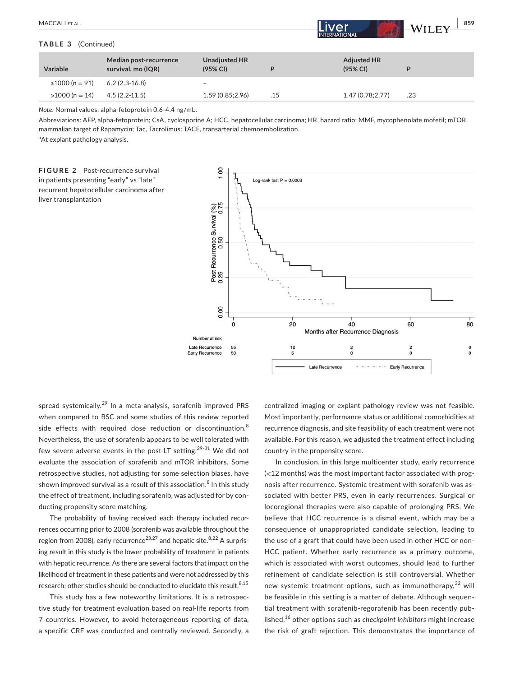| MACCALI ET AL.             |                                              |                                  |     | lLiver'<br><b>INTERNATIONAL</b> | 859<br>$\vdash$ WILEY $\dashv$ |
|----------------------------|----------------------------------------------|----------------------------------|-----|---------------------------------|--------------------------------|
| <b>TABLE 3</b> (Continued) |                                              |                                  |     |                                 |                                |
| Variable                   | Median post-recurrence<br>survival, mo (IQR) | <b>Unadjusted HR</b><br>(95% CI) | P   | <b>Adjusted HR</b><br>(95% CI)  | D                              |
| ≤1000 (n = 91)             | $6.2(2.3-16.8)$                              | -                                |     |                                 |                                |
| $>1000$ (n = 14)           | $4.5(2.2 - 11.5)$                            | 1.59 (0.85;2.96)                 | .15 | 1.47(0.78;2.77)                 | .23                            |

*Note:* Normal values: alpha-fetoprotein 0.6-4.4 ng/mL.

Abbreviations: AFP, alpha-fetoprotein; CsA, cyclosporine A; HCC, hepatocellular carcinoma; HR, hazard ratio; MMF, mycophenolate mofetil; mTOR, mammalian target of Rapamycin; Tac, Tacrolimus; TACE, transarterial chemoembolization.

<sup>a</sup>At explant pathology analysis.





spread systemically.<sup>29</sup> In a meta-analysis, sorafenib improved PRS when compared to BSC and some studies of this review reported side effects with required dose reduction or discontinuation.<sup>8</sup> Nevertheless, the use of sorafenib appears to be well tolerated with few severe adverse events in the post-LT setting.<sup>29-31</sup> We did not evaluate the association of sorafenib and mTOR inhibitors. Some retrospective studies, not adjusting for some selection biases, have shown improved survival as a result of this association. $^8$  In this study the effect of treatment, including sorafenib, was adjusted for by conducting propensity score matching.

The probability of having received each therapy included recurrences occurring prior to 2008 (sorafenib was available throughout the region from 2008), early recurrence<sup>23,27</sup> and hepatic site.<sup>8,22</sup> A surprising result in this study is the lower probability of treatment in patients with hepatic recurrence. As there are several factors that impact on the likelihood of treatment in these patients and were not addressed by this research; other studies should be conducted to elucidate this result. 8,15

This study has a few noteworthy limitations. It is a retrospective study for treatment evaluation based on real-life reports from 7 countries. However, to avoid heterogeneous reporting of data, a specific CRF was conducted and centrally reviewed. Secondly, a centralized imaging or explant pathology review was not feasible. Most importantly, performance status or additional comorbidities at recurrence diagnosis, and site feasibility of each treatment were not available. For this reason, we adjusted the treatment effect including country in the propensity score.

In conclusion, in this large multicenter study, early recurrence (<12 months) was the most important factor associated with prognosis after recurrence. Systemic treatment with sorafenib was associated with better PRS, even in early recurrences. Surgical or locoregional therapies were also capable of prolonging PRS. We believe that HCC recurrence is a dismal event, which may be a consequence of unappropriated candidate selection, leading to the use of a graft that could have been used in other HCC or non-HCC patient. Whether early recurrence as a primary outcome, which is associated with worst outcomes, should lead to further refinement of candidate selection is still controversial. Whether new systemic treatment options, such as immunotherapy,<sup>32</sup> will be feasible in this setting is a matter of debate. Although sequential treatment with sorafenib-regorafenib has been recently published,<sup>16</sup> other options such as *checkpoint inhibitors* might increase the risk of graft rejection. This demonstrates the importance of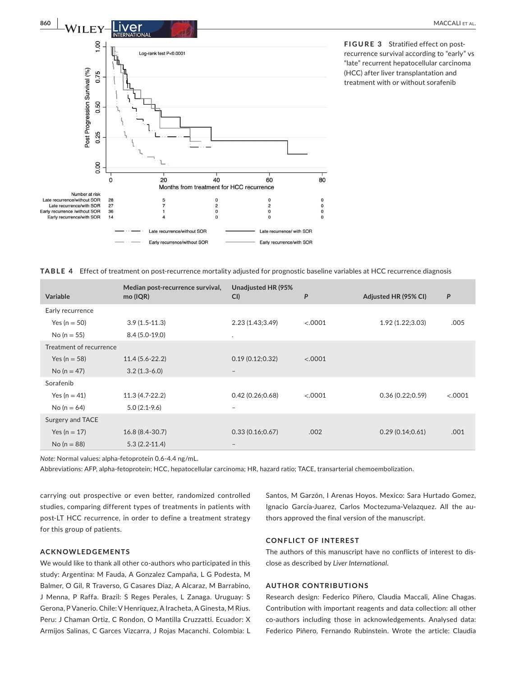

**FIGURE 3** Stratified effect on postrecurrence survival according to "early" vs "late" recurrent hepatocellular carcinoma (HCC) after liver transplantation and treatment with or without sorafenib

|  | TABLE 4 Effect of treatment on post-recurrence mortality adjusted for prognostic baseline variables at HCC recurrence diagnosis |  |  |  |  |  |  |  |
|--|---------------------------------------------------------------------------------------------------------------------------------|--|--|--|--|--|--|--|
|--|---------------------------------------------------------------------------------------------------------------------------------|--|--|--|--|--|--|--|

| <b>Variable</b>         | Median post-recurrence survival,<br>mo (IQR) | Unadjusted HR (95%<br>CI | P       | Adjusted HR (95% CI) | P       |
|-------------------------|----------------------------------------------|--------------------------|---------|----------------------|---------|
| Early recurrence        |                                              |                          |         |                      |         |
| Yes ( $n = 50$ )        | $3.9(1.5-11.3)$                              | 2.23(1.43;3.49)          | < .0001 | 1.92 (1.22;3.03)     | .005    |
| No (n = 55)             | $8.4(5.0-19.0)$                              | $\cdot$                  |         |                      |         |
| Treatment of recurrence |                                              |                          |         |                      |         |
| Yes ( $n = 58$ )        | $11.4(5.6 - 22.2)$                           | 0.19(0.12;0.32)          | < .0001 |                      |         |
| No ( $n = 47$ )         | $3.2(1.3-6.0)$                               | $\qquad \qquad -$        |         |                      |         |
| Sorafenib               |                                              |                          |         |                      |         |
| Yes ( $n = 41$ )        | $11.3(4.7-22.2)$                             | 0.42(0.26;0.68)          | < .0001 | 0.36(0.22;0.59)      | < .0001 |
| No ( $n = 64$ )         | $5.0(2.1-9.6)$                               | $\overline{\phantom{0}}$ |         |                      |         |
| Surgery and TACE        |                                              |                          |         |                      |         |
| Yes ( $n = 17$ )        | 16.8 (8.4-30.7)                              | 0.33(0.16;0.67)          | .002    | 0.29(0.14;0.61)      | .001    |
| No ( $n = 88$ )         | $5.3(2.2-11.4)$                              | $\qquad \qquad$          |         |                      |         |

*Note:* Normal values: alpha-fetoprotein 0.6-4.4 ng/mL.

Abbreviations: AFP, alpha-fetoprotein; HCC, hepatocellular carcinoma; HR, hazard ratio; TACE, transarterial chemoembolization.

carrying out prospective or even better, randomized controlled studies, comparing different types of treatments in patients with post-LT HCC recurrence, in order to define a treatment strategy for this group of patients.

# **ACKNOWLEDGEMENTS**

We would like to thank all other co-authors who participated in this study: Argentina: M Fauda, A Gonzalez Campaña, L G Podesta, M Balmer, O Gil, R Traverso, G Casares Diaz, A Alcaraz, M Barrabino, J Menna, P Raffa. Brazil: S Reges Perales, L Zanaga. Uruguay: S Gerona, P Vanerio. Chile: V Henriquez, A Iracheta, A Ginesta, M Rius. Peru: J Chaman Ortiz, C Rondon, O Mantilla Cruzzatti. Ecuador: X Armijos Salinas, C Garces Vizcarra, J Rojas Macanchi. Colombia: L

Santos, M Garzón, I Arenas Hoyos. Mexico: Sara Hurtado Gomez, Ignacio García-Juarez, Carlos Moctezuma-Velazquez. All the authors approved the final version of the manuscript.

#### **CONFLICT OF INTEREST**

The authors of this manuscript have no conflicts of interest to disclose as described by *Liver International*.

# **AUTHOR CONTRIBUTIONS**

Research design: Federico Piñero, Claudia Maccali, Aline Chagas. Contribution with important reagents and data collection: all other co-authors including those in acknowledgements. Analysed data: Federico Piñero, Fernando Rubinstein. Wrote the article: Claudia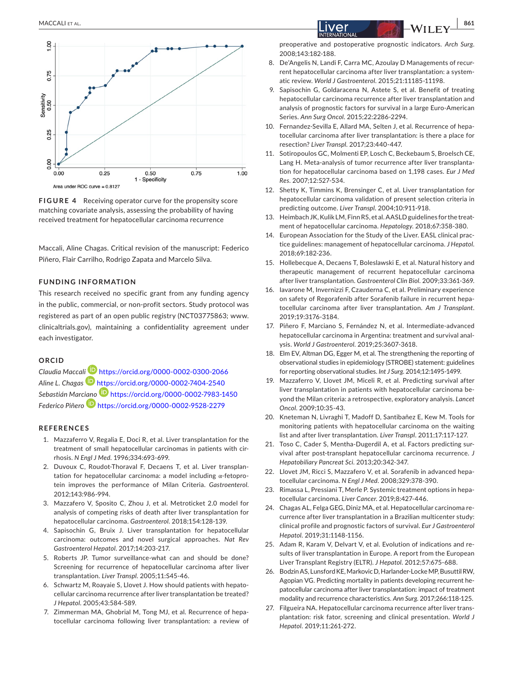

**FIGURE 4** Receiving operator curve for the propensity score matching covariate analysis, assessing the probability of having received treatment for hepatocellular carcinoma recurrence

Maccali, Aline Chagas. Critical revision of the manuscript: Federico Piñero, Flair Carrilho, Rodrigo Zapata and Marcelo Silva.

## **FUNDING INFORMATION**

This research received no specific grant from any funding agency in the public, commercial, or non-profit sectors. Study protocol was registered as part of an open public registry (NCT03775863; [www.](http://www.clinicaltrials.gov) [clinicaltrials.gov\)](http://www.clinicaltrials.gov), maintaining a confidentiality agreement under each investigator.

#### **ORCID**

*Claudia Macca[li](https://orcid.org/0000-0002-7404-2540)* <https://orcid.org/0000-0002-0300-2066> *Aline L. Chagas* <https://orcid.org/0000-0002-7404-2540> *Sebastián Mar[ciano](https://orcid.org/0000-0002-9528-2279)* <https://orcid.org/0000-0002-7983-1450> *Federico Piñero* <https://orcid.org/0000-0002-9528-2279>

#### **REFERENCES**

- 1. Mazzaferro V, Regalia E, Doci R, et al. Liver transplantation for the treatment of small hepatocellular carcinomas in patients with cirrhosis. *N Engl J Med*. 1996;334:693-699.
- 2. Duvoux C, Roudot-Thoraval F, Decaens T, et al. Liver transplantation for hepatocellular carcinoma: a model including α-fetoprotein improves the performance of Milan Criteria. *Gastroenterol*. 2012;143:986-994.
- 3. Mazzafero V, Sposito C, Zhou J, et al. Metroticket 2.0 model for analysis of competing risks of death after liver transplantation for hepatocellular carcinoma. *Gastroenterol*. 2018;154:128-139.
- 4. Sapisochin G, Bruix J. Liver transplantation for hepatocellular carcinoma: outcomes and novel surgical approaches. *Nat Rev Gastroenterol Hepatol*. 2017;14:203-217.
- 5. Roberts JP. Tumor surveillance-what can and should be done? Screening for recurrence of hepatocellular carcinoma after liver transplantation. *Liver Transpl*. 2005;11:S45-46.
- 6. Schwartz M, Roayaie S, Llovet J. How should patients with hepatocellular carcinoma recurrence after liver transplantation be treated? *J Hepatol*. 2005;43:584-589.
- 7. Zimmerman MA, Ghobrial M, Tong MJ, et al. Recurrence of hepatocellular carcinoma following liver transplantation: a review of

preoperative and postoperative prognostic indicators. *Arch Surg*. 2008;143:182-188.

- 8. De'Angelis N, Landi F, Carra MC, Azoulay D Managements of recurrent hepatocellular carcinoma after liver transplantation: a systematic review. *World J Gastroenterol*. 2015;21:11185-11198.
- 9. Sapisochin G, Goldaracena N, Astete S, et al. Benefit of treating hepatocellular carcinoma recurrence after liver transplantation and analysis of prognostic factors for survival in a large Euro-American Series. *Ann Surg Oncol*. 2015;22:2286-2294.
- 10. Fernandez-Sevilla E, Allard MA, Selten J, et al. Recurrence of hepatocellular carcinoma after liver transplantation: is there a place for resection? *Liver Transpl*. 2017;23:440-447.
- 11. Sotiropoulos GC, Molmenti EP, Losch C, Beckebaum S, Broelsch CE, Lang H. Meta-analysis of tumor recurrence after liver transplantation for hepatocellular carcinoma based on 1,198 cases. *Eur J Med Res*. 2007;12:527-534.
- 12. Shetty K, Timmins K, Brensinger C, et al. Liver transplantation for hepatocellular carcinoma validation of present selection criteria in predicting outcome. *Liver Transpl*. 2004;10:911-918.
- 13. Heimbach JK, Kulik LM, Finn RS, et al. AASLD guidelines for the treatment of hepatocellular carcinoma. *Hepatology*. 2018;67:358-380.
- 14. European Association for the Study of the Liver. EASL clinical practice guidelines: management of hepatocellular carcinoma. *J Hepatol*. 2018;69:182-236.
- 15. Hollebecque A, Decaens T, Boleslawski E, et al. Natural history and therapeutic management of recurrent hepatocellular carcinoma after liver transplantation. *Gastroenterol Clin Biol*. 2009;33:361-369.
- 16. Iavarone M, Invernizzi F, Czauderna C, et al. Preliminary experience on safety of Regorafenib after Sorafenib failure in recurrent hepatocellular carcinoma after liver transplantation. *Am J Transplant*. 2019;19:3176-3184.
- 17. Piñero F, Marciano S, Fernández N, et al. Intermediate-advanced hepatocellular carcinoma in Argentina: treatment and survival analysis. *World J Gastroenterol*. 2019;25:3607-3618.
- 18. Elm EV, Altman DG, Egger M, et al. The strengthening the reporting of observational studies in epidemiology (STROBE) statement: guidelines for reporting observational studies. *Int J Surg*. 2014;12:1495-1499.
- 19. Mazzaferro V, Llovet JM, Miceli R, et al. Predicting survival after liver transplantation in patients with hepatocellular carcinoma beyond the Milan criteria: a retrospective, exploratory analysis. *Lancet Oncol*. 2009;10:35-43.
- 20. Kneteman N, Livraghi T, Madoff D, Santibañez E, Kew M. Tools for monitoring patients with hepatocellular carcinoma on the waiting list and after liver transplantation. *Liver Transpl*. 2011;17:117-127.
- 21. Toso C, Cader S, Mentha-Dugerdil A, et al. Factors predicting survival after post-transplant hepatocellular carcinoma recurrence. *J Hepatobiliary Pancreat Sci*. 2013;20:342-347.
- 22. Llovet JM, Ricci S, Mazzafero V, et al. Sorafenib in advanced hepatocellular carcinoma. *N Engl J Med*. 2008;329:378-390.
- 23. Rimassa L, Pressiani T, Merle P. Systemic treatment options in hepatocellular carcinoma. *Liver Cancer*. 2019;8:427-446.
- 24. Chagas AL, Felga GEG, Diniz MA, et al. Hepatocellular carcinoma recurrence after liver transplantation in a Brazilian multicenter study: clinical profile and prognostic factors of survival. *Eur J Gastroenterol Hepatol*. 2019;31:1148-1156.
- 25. Adam R, Karam V, Delvart V, et al. Evolution of indications and results of liver transplantation in Europe. A report from the European Liver Transplant Registry (ELTR). *J Hepatol*. 2012;57:675-688.
- 26. Bodzin AS, Lunsford KE, Markovic D, Harlander-Locke MP, Busuttil RW, Agopian VG. Predicting mortality in patients developing recurrent hepatocellular carcinoma after liver transplantation: impact of treatment modality and recurrence characteristics. *Ann Surg*. 2017;266:118-125.
- 27. Filgueira NA. Hepatocellular carcinoma recurrence after liver transplantation: risk fator, screening and clinical presentation. *World J Hepatol*. 2019;11:261-272.